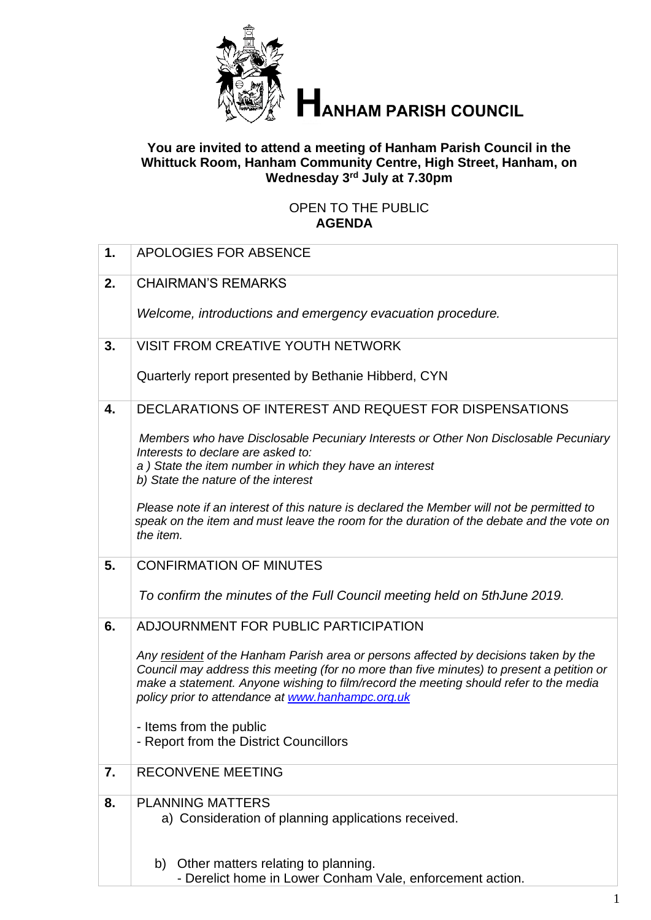

# **TANHAM PARISH COUNCIL**

#### **You are invited to attend a meeting of Hanham Parish Council in the Whittuck Room, Hanham Community Centre, High Street, Hanham, on Wednesday 3 rd July at 7.30pm**

### OPEN TO THE PUBLIC **AGENDA**

| 1. | <b>APOLOGIES FOR ABSENCE</b>                                                                                                                                                                                                                                                                                                    |
|----|---------------------------------------------------------------------------------------------------------------------------------------------------------------------------------------------------------------------------------------------------------------------------------------------------------------------------------|
|    |                                                                                                                                                                                                                                                                                                                                 |
| 2. | <b>CHAIRMAN'S REMARKS</b>                                                                                                                                                                                                                                                                                                       |
|    | Welcome, introductions and emergency evacuation procedure.                                                                                                                                                                                                                                                                      |
| 3. | <b>VISIT FROM CREATIVE YOUTH NETWORK</b>                                                                                                                                                                                                                                                                                        |
|    | Quarterly report presented by Bethanie Hibberd, CYN                                                                                                                                                                                                                                                                             |
| 4. | DECLARATIONS OF INTEREST AND REQUEST FOR DISPENSATIONS                                                                                                                                                                                                                                                                          |
|    | Members who have Disclosable Pecuniary Interests or Other Non Disclosable Pecuniary<br>Interests to declare are asked to:<br>a) State the item number in which they have an interest<br>b) State the nature of the interest                                                                                                     |
|    | Please note if an interest of this nature is declared the Member will not be permitted to<br>speak on the item and must leave the room for the duration of the debate and the vote on<br>the item.                                                                                                                              |
| 5. | <b>CONFIRMATION OF MINUTES</b>                                                                                                                                                                                                                                                                                                  |
|    | To confirm the minutes of the Full Council meeting held on 5thJune 2019.                                                                                                                                                                                                                                                        |
| 6. | ADJOURNMENT FOR PUBLIC PARTICIPATION                                                                                                                                                                                                                                                                                            |
|    | Any resident of the Hanham Parish area or persons affected by decisions taken by the<br>Council may address this meeting (for no more than five minutes) to present a petition or<br>make a statement. Anyone wishing to film/record the meeting should refer to the media<br>policy prior to attendance at www.hanhampc.org.uk |
|    | Items from the public<br>- Report from the District Councillors                                                                                                                                                                                                                                                                 |
| 7. | <b>RECONVENE MEETING</b>                                                                                                                                                                                                                                                                                                        |
| 8. | <b>PLANNING MATTERS</b><br>a) Consideration of planning applications received.                                                                                                                                                                                                                                                  |
|    | b) Other matters relating to planning.<br>- Derelict home in Lower Conham Vale, enforcement action.                                                                                                                                                                                                                             |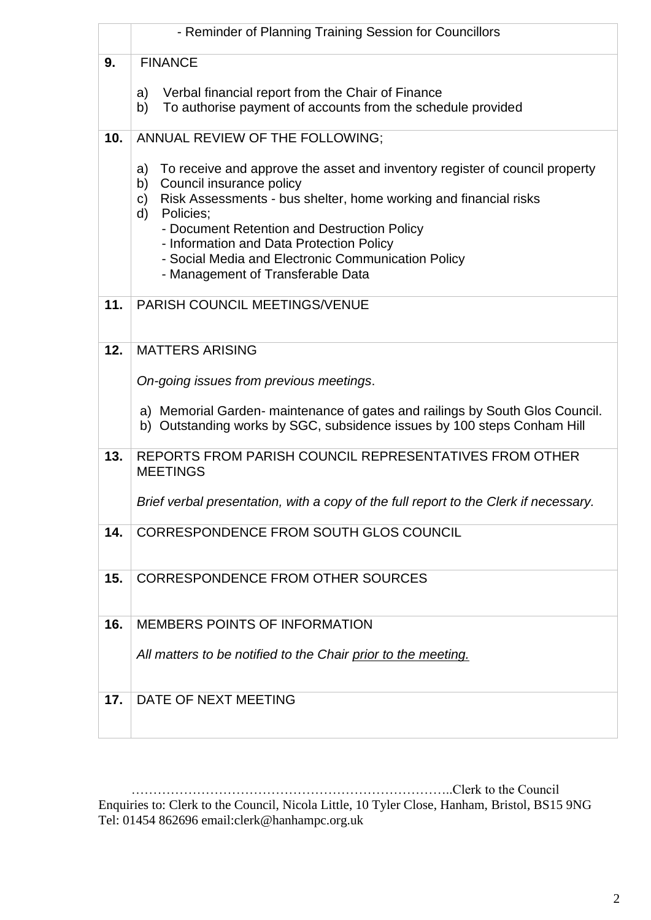|     | - Reminder of Planning Training Session for Councillors                                                                                                                                                                                                                                                                                                                                                |  |
|-----|--------------------------------------------------------------------------------------------------------------------------------------------------------------------------------------------------------------------------------------------------------------------------------------------------------------------------------------------------------------------------------------------------------|--|
| 9.  | <b>FINANCE</b>                                                                                                                                                                                                                                                                                                                                                                                         |  |
|     | Verbal financial report from the Chair of Finance<br>a)<br>To authorise payment of accounts from the schedule provided<br>b)                                                                                                                                                                                                                                                                           |  |
| 10. | ANNUAL REVIEW OF THE FOLLOWING;                                                                                                                                                                                                                                                                                                                                                                        |  |
|     | To receive and approve the asset and inventory register of council property<br>a)<br>Council insurance policy<br>b)<br>Risk Assessments - bus shelter, home working and financial risks<br>c)<br>d)<br>Policies;<br>- Document Retention and Destruction Policy<br>- Information and Data Protection Policy<br>- Social Media and Electronic Communication Policy<br>- Management of Transferable Data |  |
| 11. | PARISH COUNCIL MEETINGS/VENUE                                                                                                                                                                                                                                                                                                                                                                          |  |
| 12. | <b>MATTERS ARISING</b>                                                                                                                                                                                                                                                                                                                                                                                 |  |
|     | On-going issues from previous meetings.                                                                                                                                                                                                                                                                                                                                                                |  |
|     | a) Memorial Garden- maintenance of gates and railings by South Glos Council.<br>b) Outstanding works by SGC, subsidence issues by 100 steps Conham Hill                                                                                                                                                                                                                                                |  |
| 13. | REPORTS FROM PARISH COUNCIL REPRESENTATIVES FROM OTHER<br><b>MEETINGS</b>                                                                                                                                                                                                                                                                                                                              |  |
|     | Brief verbal presentation, with a copy of the full report to the Clerk if necessary.                                                                                                                                                                                                                                                                                                                   |  |
| 14. | CORRESPONDENCE FROM SOUTH GLOS COUNCIL                                                                                                                                                                                                                                                                                                                                                                 |  |
| 15. | <b>CORRESPONDENCE FROM OTHER SOURCES</b>                                                                                                                                                                                                                                                                                                                                                               |  |
| 16. | <b>MEMBERS POINTS OF INFORMATION</b>                                                                                                                                                                                                                                                                                                                                                                   |  |
|     | All matters to be notified to the Chair prior to the meeting.                                                                                                                                                                                                                                                                                                                                          |  |
|     |                                                                                                                                                                                                                                                                                                                                                                                                        |  |
| 17. | DATE OF NEXT MEETING                                                                                                                                                                                                                                                                                                                                                                                   |  |
|     |                                                                                                                                                                                                                                                                                                                                                                                                        |  |

 ………………………………………………………………..Clerk to the Council Enquiries to: Clerk to the Council, Nicola Little, 10 Tyler Close, Hanham, Bristol, BS15 9NG Tel: 01454 862696 email:clerk@hanhampc.org.uk